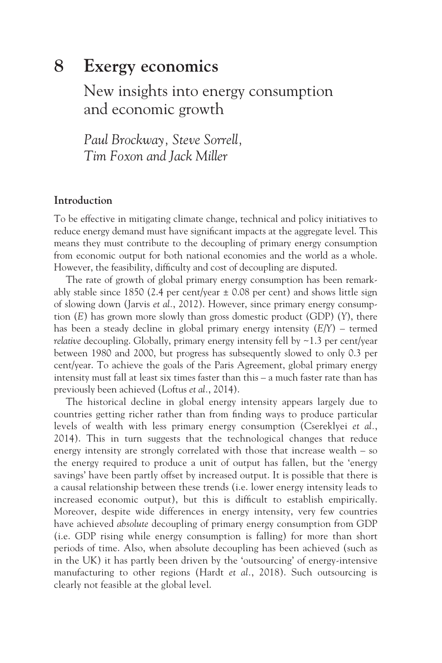# **8 [Exergy economics](#page--1-0)**

# [New insights into energy consumption](#page--1-0)  and economic growth

*Paul Brockway, Steve Sorrell, Tim Foxon and Jack Miller*

## **Introduction**

To be effective in mitigating climate change, technical and policy initiatives to reduce energy demand must have significant impacts at the aggregate level. This means they must contribute to the decoupling of primary energy consumption from economic output for both national economies and the world as a whole. However, the feasibility, difficulty and cost of decoupling are disputed.

The rate of growth of global primary energy consumption has been remarkably stable since 1850 (2.4 per cent/year  $\pm$  0.08 per cent) and shows little sign of slowing down (Jarvis *et al.*, 2012). However, since primary energy consumption (*E*) has grown more slowly than gross domestic product (GDP) (*Y*), there has been a steady decline in global primary energy intensity (*E*/*Y*) – termed *relative* decoupling. Globally, primary energy intensity fell by ~1.3 per cent/year between 1980 and 2000, but progress has subsequently slowed to only 0.3 per cent/year. To achieve the goals of the Paris Agreement, global primary energy intensity must fall at least six times faster than this – a much faster rate than has previously been achieved (Loftus *et al.*, 2014).

The historical decline in global energy intensity appears largely due to countries getting richer rather than from finding ways to produce particular levels of wealth with less primary energy consumption (Csereklyei *et al.*, 2014). This in turn suggests that the technological changes that reduce energy intensity are strongly correlated with those that increase wealth – so the energy required to produce a unit of output has fallen, but the 'energy savings' have been partly offset by increased output. It is possible that there is a causal relationship between these trends (i.e. lower energy intensity leads to increased economic output), but this is difficult to establish empirically. Moreover, despite wide differences in energy intensity, very few countries have achieved *absolute* decoupling of primary energy consumption from GDP (i.e. GDP rising while energy consumption is falling) for more than short periods of time. Also, when absolute decoupling has been achieved (such as in the UK) it has partly been driven by the 'outsourcing' of energy-intensive manufacturing to other regions (Hardt *et al.*, 2018). Such outsourcing is clearly not feasible at the global level.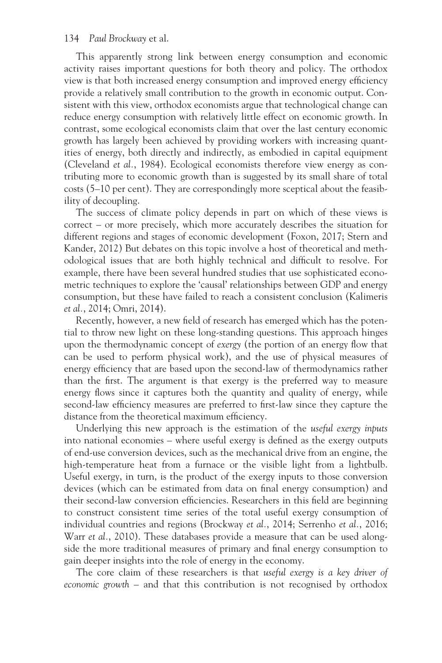This apparently strong link between energy consumption and economic activity raises important questions for both theory and policy. The orthodox view is that both increased energy consumption and improved energy efficiency provide a relatively small contribution to the growth in economic output. Consistent with this view, orthodox economists argue that technological change can reduce energy consumption with relatively little effect on economic growth. In contrast, some ecological economists claim that over the last century economic growth has largely been achieved by providing workers with increasing quantities of energy, both directly and indirectly, as embodied in capital equipment (Cleveland *et al.*, 1984). Ecological economists therefore view energy as contributing more to economic growth than is suggested by its small share of total costs (5–10 per cent). They are correspondingly more sceptical about the feasibility of decoupling.

The success of climate policy depends in part on which of these views is correct – or more precisely, which more accurately describes the situation for different regions and stages of economic development (Foxon, 2017; Stern and Kander, 2012) But debates on this topic involve a host of theoretical and methodological issues that are both highly technical and difficult to resolve. For example, there have been several hundred studies that use sophisticated econometric techniques to explore the 'causal' relationships between GDP and energy consumption, but these have failed to reach a consistent conclusion (Kalimeris *et al.*, 2014; Omri, 2014).

Recently, however, a new field of research has emerged which has the potential to throw new light on these long-standing questions. This approach hinges upon the thermodynamic concept of *exergy* (the portion of an energy flow that can be used to perform physical work), and the use of physical measures of energy efficiency that are based upon the second-law of thermodynamics rather than the first. The argument is that exergy is the preferred way to measure energy flows since it captures both the quantity and quality of energy, while second-law efficiency measures are preferred to first-law since they capture the distance from the theoretical maximum efficiency.

Underlying this new approach is the estimation of the *useful exergy inputs* into national economies – where useful exergy is defined as the exergy outputs of end-use conversion devices, such as the mechanical drive from an engine, the high-temperature heat from a furnace or the visible light from a lightbulb. Useful exergy, in turn, is the product of the exergy inputs to those conversion devices (which can be estimated from data on final energy consumption) and their second-law conversion efficiencies. Researchers in this field are beginning to construct consistent time series of the total useful exergy consumption of individual countries and regions (Brockway *et al.*, 2014; Serrenho *et al.*, 2016; Warr *et al.*, 2010). These databases provide a measure that can be used alongside the more traditional measures of primary and final energy consumption to gain deeper insights into the role of energy in the economy.

The core claim of these researchers is that *useful exergy is a key driver of economic growth* – and that this contribution is not recognised by orthodox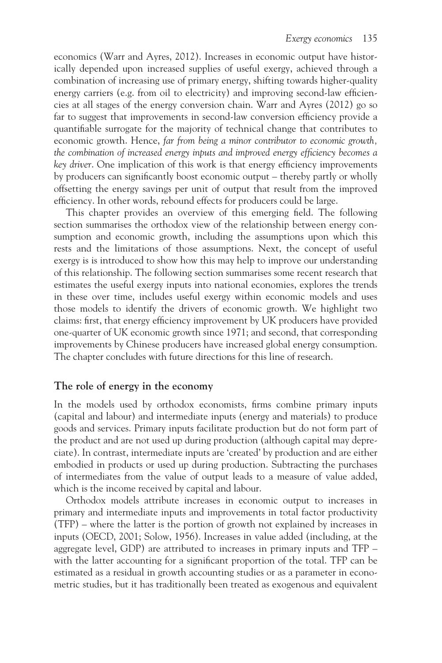economics (Warr and Ayres, 2012). Increases in economic output have historically depended upon increased supplies of useful exergy, achieved through a combination of increasing use of primary energy, shifting towards higher-quality energy carriers (e.g. from oil to electricity) and improving second-law efficiencies at all stages of the energy conversion chain. Warr and Ayres (2012) go so far to suggest that improvements in second-law conversion efficiency provide a quantifiable surrogate for the majority of technical change that contributes to economic growth. Hence, *far from being a minor contributor to economic growth, the combination of increased energy inputs and improved energy efficiency becomes a key driver*. One implication of this work is that energy efficiency improvements by producers can significantly boost economic output – thereby partly or wholly offsetting the energy savings per unit of output that result from the improved efficiency. In other words, rebound effects for producers could be large.

This chapter provides an overview of this emerging field. The following section summarises the orthodox view of the relationship between energy consumption and economic growth, including the assumptions upon which this rests and the limitations of those assumptions. Next, the concept of useful exergy is is introduced to show how this may help to improve our understanding of this relationship. The following section summarises some recent research that estimates the useful exergy inputs into national economies, explores the trends in these over time, includes useful exergy within economic models and uses those models to identify the drivers of economic growth. We highlight two claims: first, that energy efficiency improvement by UK producers have provided one-quarter of UK economic growth since 1971; and second, that corresponding improvements by Chinese producers have increased global energy consumption. The chapter concludes with future directions for this line of research.

# **The role of energy in the economy**

In the models used by orthodox economists, firms combine primary inputs (capital and labour) and intermediate inputs (energy and materials) to produce goods and services. Primary inputs facilitate production but do not form part of the product and are not used up during production (although capital may depreciate). In contrast, intermediate inputs are 'created' by production and are either embodied in products or used up during production. Subtracting the purchases of intermediates from the value of output leads to a measure of value added, which is the income received by capital and labour.

Orthodox models attribute increases in economic output to increases in primary and intermediate inputs and improvements in total factor productivity (TFP) – where the latter is the portion of growth not explained by increases in inputs (OECD, 2001; Solow, 1956). Increases in value added (including, at the aggregate level, GDP) are attributed to increases in primary inputs and TFP – with the latter accounting for a significant proportion of the total. TFP can be estimated as a residual in growth accounting studies or as a parameter in econometric studies, but it has traditionally been treated as exogenous and equivalent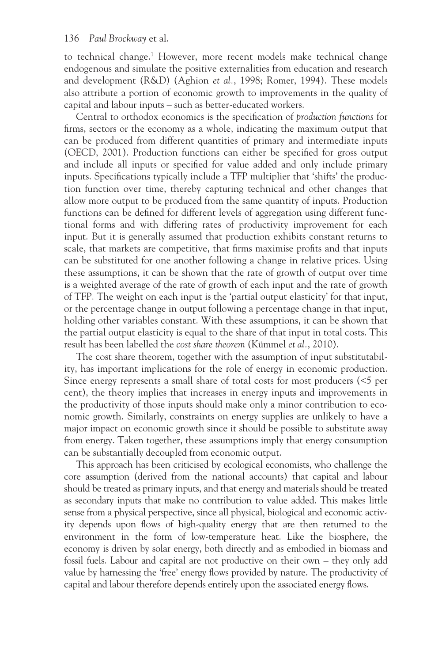to technical change.<sup>[1](#page--1-0)</sup> However, more recent models make technical change endogenous and simulate the positive externalities from education and research and development (R&D) (Aghion *et al.*, 1998; Romer, 1994). These models also attribute a portion of economic growth to improvements in the quality of capital and labour inputs – such as better-educated workers.

Central to orthodox economics is the specification of *production functions* for firms, sectors or the economy as a whole, indicating the maximum output that can be produced from different quantities of primary and intermediate inputs (OECD, 2001). Production functions can either be specified for gross output and include all inputs or specified for value added and only include primary inputs. Specifications typically include a TFP multiplier that 'shifts' the production function over time, thereby capturing technical and other changes that allow more output to be produced from the same quantity of inputs. Production functions can be defined for different levels of aggregation using different functional forms and with differing rates of productivity improvement for each input. But it is generally assumed that production exhibits constant returns to scale, that markets are competitive, that firms maximise profits and that inputs can be substituted for one another following a change in relative prices. Using these assumptions, it can be shown that the rate of growth of output over time is a weighted average of the rate of growth of each input and the rate of growth of TFP. The weight on each input is the 'partial output elasticity' for that input, or the percentage change in output following a percentage change in that input, holding other variables constant. With these assumptions, it can be shown that the partial output elasticity is equal to the share of that input in total costs. This result has been labelled the *cost share theorem* (Kümmel *et al.*, 2010).

The cost share theorem, together with the assumption of input substitutability, has important implications for the role of energy in economic production. Since energy represents a small share of total costs for most producers (<5 per cent), the theory implies that increases in energy inputs and improvements in the productivity of those inputs should make only a minor contribution to economic growth. Similarly, constraints on energy supplies are unlikely to have a major impact on economic growth since it should be possible to substitute away from energy. Taken together, these assumptions imply that energy consumption can be substantially decoupled from economic output.

This approach has been criticised by ecological economists, who challenge the core assumption (derived from the national accounts) that capital and labour should be treated as primary inputs, and that energy and materials should be treated as secondary inputs that make no contribution to value added. This makes little sense from a physical perspective, since all physical, biological and economic activity depends upon flows of high-quality energy that are then returned to the environment in the form of low-temperature heat. Like the biosphere, the economy is driven by solar energy, both directly and as embodied in biomass and fossil fuels. Labour and capital are not productive on their own – they only add value by harnessing the 'free' energy flows provided by nature. The productivity of capital and labour therefore depends entirely upon the associated energy flows.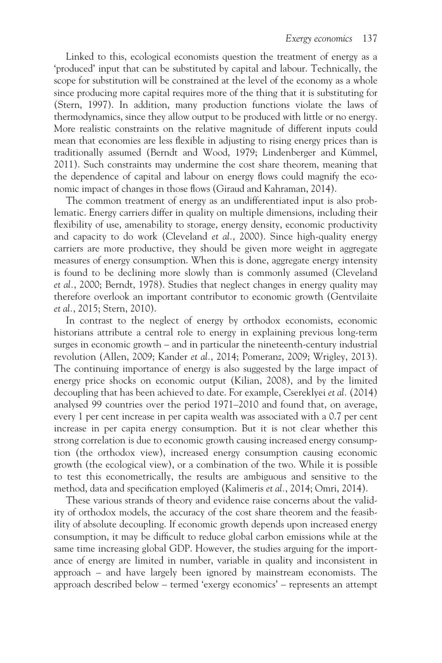Linked to this, ecological economists question the treatment of energy as a 'produced' input that can be substituted by capital and labour. Technically, the scope for substitution will be constrained at the level of the economy as a whole since producing more capital requires more of the thing that it is substituting for (Stern, 1997). In addition, many production functions violate the laws of thermodynamics, since they allow output to be produced with little or no energy. More realistic constraints on the relative magnitude of different inputs could mean that economies are less flexible in adjusting to rising energy prices than is traditionally assumed (Berndt and Wood, 1979; Lindenberger and Kümmel, 2011). Such constraints may undermine the cost share theorem, meaning that the dependence of capital and labour on energy flows could magnify the economic impact of changes in those flows (Giraud and Kahraman, 2014).

The common treatment of energy as an undifferentiated input is also problematic. Energy carriers differ in quality on multiple dimensions, including their flexibility of use, amenability to storage, energy density, economic productivity and capacity to do work (Cleveland *et al.*, 2000). Since high-quality energy carriers are more productive, they should be given more weight in aggregate measures of energy consumption. When this is done, aggregate energy intensity is found to be declining more slowly than is commonly assumed (Cleveland *et al.*, 2000; Berndt, 1978). Studies that neglect changes in energy quality may therefore overlook an important contributor to economic growth (Gentvilaite *et al.*, 2015; Stern, 2010).

In contrast to the neglect of energy by orthodox economists, economic historians attribute a central role to energy in explaining previous long-term surges in economic growth – and in particular the nineteenth-century industrial revolution (Allen, 2009; Kander *et al.*, 2014; Pomeranz, 2009; Wrigley, 2013). The continuing importance of energy is also suggested by the large impact of energy price shocks on economic output (Kilian, 2008), and by the limited decoupling that has been achieved to date. For example, Csereklyei *et al.* (2014) analysed 99 countries over the period 1971–2010 and found that, on average, every 1 per cent increase in per capita wealth was associated with a 0.7 per cent increase in per capita energy consumption. But it is not clear whether this strong correlation is due to economic growth causing increased energy consumption (the orthodox view), increased energy consumption causing economic growth (the ecological view), or a combination of the two. While it is possible to test this econometrically, the results are ambiguous and sensitive to the method, data and specification employed (Kalimeris *et al.*, 2014; Omri, 2014).

These various strands of theory and evidence raise concerns about the validity of orthodox models, the accuracy of the cost share theorem and the feasibility of absolute decoupling. If economic growth depends upon increased energy consumption, it may be difficult to reduce global carbon emissions while at the same time increasing global GDP. However, the studies arguing for the importance of energy are limited in number, variable in quality and inconsistent in approach – and have largely been ignored by mainstream economists. The approach described below – termed 'exergy economics' – represents an attempt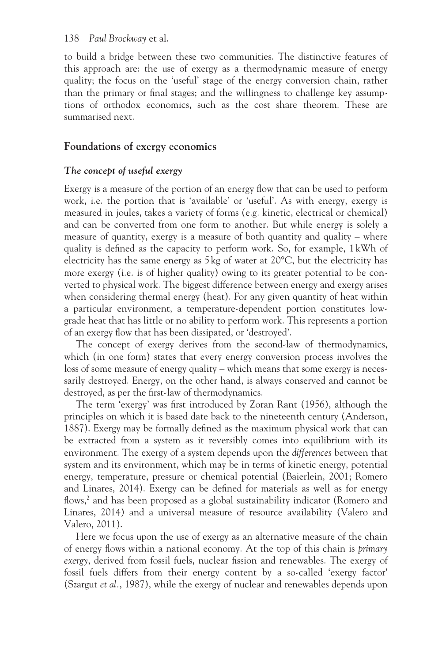to build a bridge between these two communities. The distinctive features of this approach are: the use of exergy as a thermodynamic measure of energy quality; the focus on the 'useful' stage of the energy conversion chain, rather than the primary or final stages; and the willingness to challenge key assumptions of orthodox economics, such as the cost share theorem. These are summarised next.

# **Foundations of exergy economics**

# *The concept of useful exergy*

Exergy is a measure of the portion of an energy flow that can be used to perform work, i.e. the portion that is 'available' or 'useful'. As with energy, exergy is measured in joules, takes a variety of forms (e.g. kinetic, electrical or chemical) and can be converted from one form to another. But while energy is solely a measure of quantity, exergy is a measure of both quantity and quality – where quality is defined as the capacity to perform work. So, for example, 1 kWh of electricity has the same energy as 5 kg of water at 20°C, but the electricity has more exergy (i.e. is of higher quality) owing to its greater potential to be converted to physical work. The biggest difference between energy and exergy arises when considering thermal energy (heat). For any given quantity of heat within a particular environment, a temperature-dependent portion constitutes lowgrade heat that has little or no ability to perform work. This represents a portion of an exergy flow that has been dissipated, or 'destroyed'.

The concept of exergy derives from the second-law of thermodynamics, which (in one form) states that every energy conversion process involves the loss of some measure of energy quality – which means that some exergy is necessarily destroyed. Energy, on the other hand, is always conserved and cannot be destroyed, as per the first-law of thermodynamics.

The term 'exergy' was first introduced by Zoran Rant (1956), although the principles on which it is based date back to the nineteenth century (Anderson, 1887). Exergy may be formally defined as the maximum physical work that can be extracted from a system as it reversibly comes into equilibrium with its environment. The exergy of a system depends upon the *differences* between that system and its environment, which may be in terms of kinetic energy, potential energy, temperature, pressure or chemical potential (Baierlein, 2001; Romero and Linares, 2014). Exergy can be defined for materials as well as for energy flows,<sup>[2](#page--1-0)</sup> and has been proposed as a global sustainability indicator (Romero and Linares, 2014) and a universal measure of resource availability (Valero and Valero, 2011).

Here we focus upon the use of exergy as an alternative measure of the chain of energy flows within a national economy. At the top of this chain is *primary exergy*, derived from fossil fuels, nuclear fission and renewables. The exergy of fossil fuels differs from their energy content by a so-called 'exergy factor' (Szargut *et al.*, 1987), while the exergy of nuclear and renewables depends upon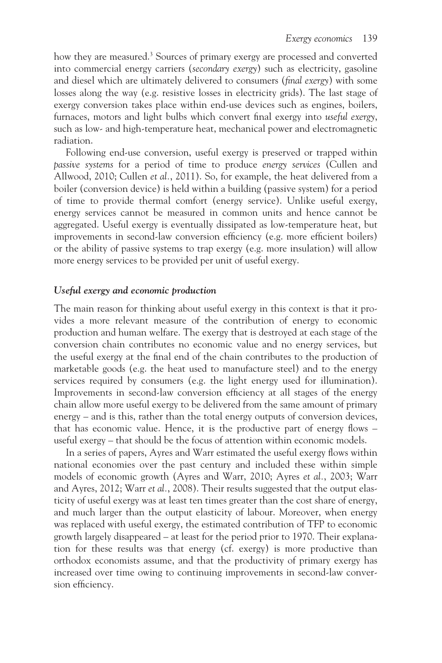how they are measured.<sup>3</sup> Sources of primary exergy are processed and converted into commercial energy carriers (*secondary exergy*) such as electricity, gasoline and diesel which are ultimately delivered to consumers (*final exergy*) with some losses along the way (e.g. resistive losses in electricity grids). The last stage of exergy conversion takes place within end-use devices such as engines, boilers, furnaces, motors and light bulbs which convert final exergy into *useful exergy*, such as low- and high-temperature heat, mechanical power and electromagnetic radiation.

Following end-use conversion, useful exergy is preserved or trapped within *passive systems* for a period of time to produce *energy services* (Cullen and Allwood, 2010; Cullen *et al.*, 2011). So, for example, the heat delivered from a boiler (conversion device) is held within a building (passive system) for a period of time to provide thermal comfort (energy service). Unlike useful exergy, energy services cannot be measured in common units and hence cannot be aggregated. Useful exergy is eventually dissipated as low-temperature heat, but improvements in second-law conversion efficiency (e.g. more efficient boilers) or the ability of passive systems to trap exergy (e.g. more insulation) will allow more energy services to be provided per unit of useful exergy.

## *Useful exergy and economic production*

The main reason for thinking about useful exergy in this context is that it provides a more relevant measure of the contribution of energy to economic production and human welfare. The exergy that is destroyed at each stage of the conversion chain contributes no economic value and no energy services, but the useful exergy at the final end of the chain contributes to the production of marketable goods (e.g. the heat used to manufacture steel) and to the energy services required by consumers (e.g. the light energy used for illumination). Improvements in second-law conversion efficiency at all stages of the energy chain allow more useful exergy to be delivered from the same amount of primary energy – and is this, rather than the total energy outputs of conversion devices, that has economic value. Hence, it is the productive part of energy flows – useful exergy – that should be the focus of attention within economic models.

In a series of papers, Ayres and Warr estimated the useful exergy flows within national economies over the past century and included these within simple models of economic growth (Ayres and Warr, 2010; Ayres *et al.*, 2003; Warr and Ayres, 2012; Warr *et al.*, 2008). Their results suggested that the output elasticity of useful exergy was at least ten times greater than the cost share of energy, and much larger than the output elasticity of labour. Moreover, when energy was replaced with useful exergy, the estimated contribution of TFP to economic growth largely disappeared – at least for the period prior to 1970. Their explanation for these results was that energy (cf. exergy) is more productive than orthodox economists assume, and that the productivity of primary exergy has increased over time owing to continuing improvements in second-law conversion efficiency.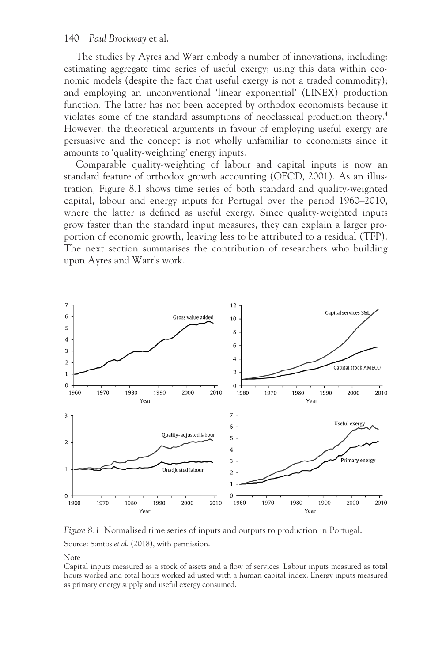The studies by Ayres and Warr embody a number of innovations, including: estimating aggregate time series of useful exergy; using this data within economic models (despite the fact that useful exergy is not a traded commodity); and employing an unconventional 'linear exponential' (LINEX) production function. The latter has not been accepted by orthodox economists because it violates some of the standard assumptions of neoclassical production theory[.4](#page--1-0) However, the theoretical arguments in favour of employing useful exergy are persuasive and the concept is not wholly unfamiliar to economists since it amounts to 'quality-weighting' energy inputs.

Comparable quality-weighting of labour and capital inputs is now an standard feature of orthodox growth accounting (OECD, 2001). As an illustration, [Figure 8.1](#page--1-0) shows time series of both standard and quality-weighted capital, labour and energy inputs for Portugal over the period 1960–2010, where the latter is defined as useful exergy. Since quality-weighted inputs grow faster than the standard input measures, they can explain a larger proportion of economic growth, leaving less to be attributed to a residual (TFP). The next section summarises the contribution of researchers who building upon Ayres and Warr's work.



*[Figure 8.1](#page--1-0)* Normalised time series of inputs and outputs to production in Portugal.

Source: Santos *et al*. (2018), with permission.

Note

Capital inputs measured as a stock of assets and a flow of services. Labour inputs measured as total hours worked and total hours worked adjusted with a human capital index. Energy inputs measured as primary energy supply and useful exergy consumed.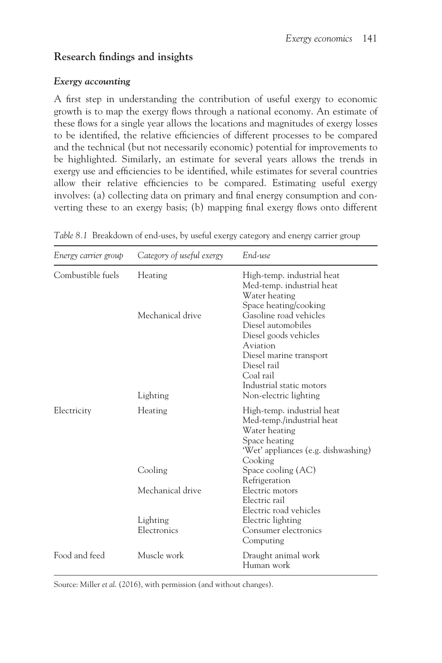# **Research findings and insights**

# *Exergy accounting*

A first step in understanding the contribution of useful exergy to economic growth is to map the exergy flows through a national economy. An estimate of these flows for a single year allows the locations and magnitudes of exergy losses to be identified, the relative efficiencies of different processes to be compared and the technical (but not necessarily economic) potential for improvements to be highlighted. Similarly, an estimate for several years allows the trends in exergy use and efficiencies to be identified, while estimates for several countries allow their relative efficiencies to be compared. Estimating useful exergy involves: (a) collecting data on primary and final energy consumption and converting these to an exergy basis; (b) mapping final exergy flows onto different

| Energy carrier group | Category of useful exergy                              | End-use<br>High-temp. industrial heat<br>Med-temp. industrial heat<br>Water heating<br>Space heating/cooking<br>Gasoline road vehicles<br>Diesel automobiles<br>Diesel goods vehicles<br>Aviation<br>Diesel marine transport<br>Diesel rail<br>Coal rail<br>Industrial static motors<br>Non-electric lighting |  |
|----------------------|--------------------------------------------------------|---------------------------------------------------------------------------------------------------------------------------------------------------------------------------------------------------------------------------------------------------------------------------------------------------------------|--|
| Combustible fuels    | Heating<br>Mechanical drive<br>Lighting                |                                                                                                                                                                                                                                                                                                               |  |
| Electricity          | Heating                                                | High-temp. industrial heat<br>Med-temp./industrial heat<br>Water heating<br>Space heating<br>'Wet' appliances (e.g. dishwashing)<br>Cooking                                                                                                                                                                   |  |
|                      | Cooling<br>Mechanical drive<br>Lighting<br>Electronics | Space cooling (AC)<br>Refrigeration<br>Electric motors<br>Electric rail<br>Electric road vehicles<br>Electric lighting<br>Consumer electronics<br>Computing                                                                                                                                                   |  |
| Food and feed        | Muscle work                                            | Draught animal work<br>Human work                                                                                                                                                                                                                                                                             |  |

*[Table 8.1](#page--1-0)* Breakdown of end-uses, by useful exergy category and energy carrier group

Source: Miller *et al*. (2016), with permission (and without changes).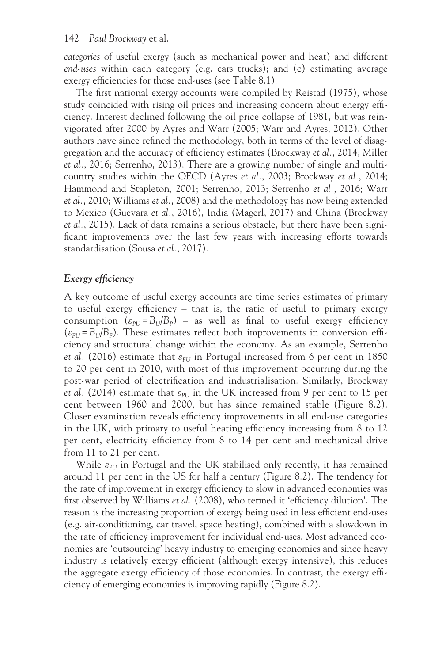*categories* of useful exergy (such as mechanical power and heat) and different *end-uses* within each category (e.g. cars trucks); and (c) estimating average exergy efficiencies for those end-uses (se[e Table](#page--1-0) 8.1).

The first national exergy accounts were compiled by Reistad (1975), whose study coincided with rising oil prices and increasing concern about energy efficiency. Interest declined following the oil price collapse of 1981, but was reinvigorated after 2000 by Ayres and Warr (2005; Warr and Ayres, 2012). Other authors have since refined the methodology, both in terms of the level of disaggregation and the accuracy of efficiency estimates (Brockway *et al.*, 2014; Miller *et al.*, 2016; Serrenho, 2013). There are a growing number of single and multicountry studies within the OECD (Ayres *et al.*, 2003; Brockway *et al.*, 2014; Hammond and Stapleton, 2001; Serrenho, 2013; Serrenho *et al.*, 2016; Warr *et al.*, 2010; Williams *et al.*, 2008) and the methodology has now being extended to Mexico (Guevara *et al.*, 2016), India (Magerl, 2017) and China (Brockway *et al.*, 2015). Lack of data remains a serious obstacle, but there have been significant improvements over the last few years with increasing efforts towards standardisation (Sousa *et al.*, 2017).

# *Exergy efficiency*

A key outcome of useful exergy accounts are time series estimates of primary to useful exergy efficiency – that is, the ratio of useful to primary exergy consumption  $(\varepsilon_{PI} - B_U/B_P)$  – as well as final to useful exergy efficiency  $(\varepsilon_{FU} = B_U/B_F)$ . These estimates reflect both improvements in conversion efficiency and structural change within the economy. As an example, Serrenho *et al.* (2016) estimate that  $\varepsilon$ <sub>*FU*</sub> in Portugal increased from 6 per cent in 1850 to 20 per cent in 2010, with most of this improvement occurring during the post-war period of electrification and industrialisation. Similarly, Brockway *et al.* (2014) estimate that  $\varepsilon_{PL}$  in the UK increased from 9 per cent to 15 per cent between 1960 and 2000, but has since remained stable [\(Figure 8.2\)](#page--1-0). Closer examination reveals efficiency improvements in all end-use categories in the UK, with primary to useful heating efficiency increasing from 8 to 12 per cent, electricity efficiency from 8 to 14 per cent and mechanical drive from 11 to 21 per cent.

While  $\varepsilon_{PI}$  in Portugal and the UK stabilised only recently, it has remained around 11 per cent in the US for half a century [\(Figure 8.2\)](#page--1-0). The tendency for the rate of improvement in exergy efficiency to slow in advanced economies was first observed by Williams *et al.* (2008), who termed it 'efficiency dilution'. The reason is the increasing proportion of exergy being used in less efficient end-uses (e.g. air-conditioning, car travel, space heating), combined with a slowdown in the rate of efficiency improvement for individual end-uses. Most advanced economies are 'outsourcing' heavy industry to emerging economies and since heavy industry is relatively exergy efficient (although exergy intensive), this reduces the aggregate exergy efficiency of those economies. In contrast, the exergy efficiency of emerging economies is improving rapidly [\(Figure](#page--1-0) 8.2).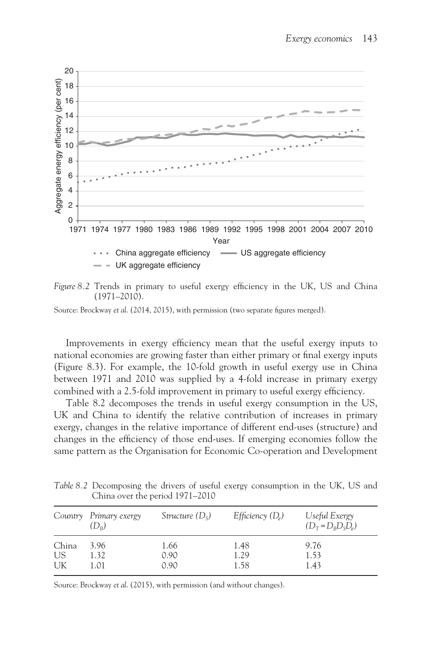

*[Figure 8.2](#page--1-0)* Trends in primary to useful exergy efficiency in the UK, US and China (1971–2010).

Source: Brockway *et al*. (2014, 2015), with permission (two separate figures merged).

Improvements in exergy efficiency mean that the useful exergy inputs to national economies are growing faster than either primary or final exergy inputs ([Figure 8.3\)](#page--1-0). For example, the 10-fold growth in useful exergy use in China between 1971 and 2010 was supplied by a 4-fold increase in primary exergy combined with a 2.5-fold improvement in primary to useful exergy efficiency.

[Table 8.2](#page--1-0) decomposes the trends in useful exergy consumption in the US, UK and China to identify the relative contribution of increases in primary exergy, changes in the relative importance of different end-uses (structure) and changes in the efficiency of those end-uses. If emerging economies follow the same pattern as the Organisation for Economic Co-operation and Development

*[Table 8.2](#page--1-0)* Decomposing the drivers of useful exergy consumption in the UK, US and China over the period 1971–2010

|       | Country Primary exergy<br>$(D_{R})$ | Structure $(D_s)$ | Efficiency $(D_e)$ | Useful Exergy<br>$(D_T = D_B D_S D_e)$ |
|-------|-------------------------------------|-------------------|--------------------|----------------------------------------|
| China | 3.96                                | 1.66              | 1.48               | 9.76                                   |
| US    | 1.32                                | 0.90              | 1.29               | 1.53                                   |
| UK    | 1.01                                | 0.90              | 1.58               | 1.43                                   |

Source: Brockway *et al*. (2015), with permission (and without changes).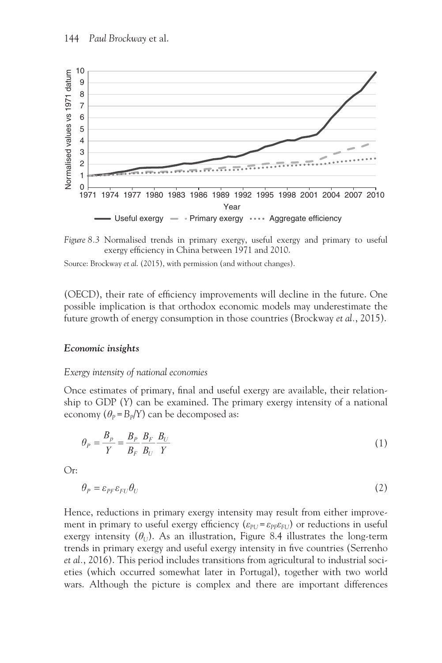



Source: Brockway *et al*. (2015), with permission (and without changes).

(OECD), their rate of efficiency improvements will decline in the future. One possible implication is that orthodox economic models may underestimate the future growth of energy consumption in those countries (Brockway *et al.*, 2015).

#### *Economic insights*

#### *Exergy intensity of national economies*

Once estimates of primary, final and useful exergy are available, their relationship to GDP (*Y*) can be examined. The primary exergy intensity of a national economy  $(\theta_P = B_p/Y)$  can be decomposed as:

$$
\theta_P = \frac{B_P}{Y} = \frac{B_P}{B_F} \frac{B_F}{B_U} \frac{B_U}{Y}
$$
\n<sup>(1)</sup>

Or:

$$
\theta_P = \varepsilon_{PF} \varepsilon_{FU} \theta_U \tag{2}
$$

Hence, reductions in primary exergy intensity may result from either improvement in primary to useful exergy efficiency  $(\varepsilon_{PL} - \varepsilon_{P\mid E}\varepsilon_{FU})$  or reductions in useful exergy intensity  $(\theta_U)$ . As an illustration, [Figure 8.4](#page--1-0) illustrates the long-term trends in primary exergy and useful exergy intensity in five countries (Serrenho *et al.*, 2016). This period includes transitions from agricultural to industrial societies (which occurred somewhat later in Portugal), together with two world wars. Although the picture is complex and there are important differences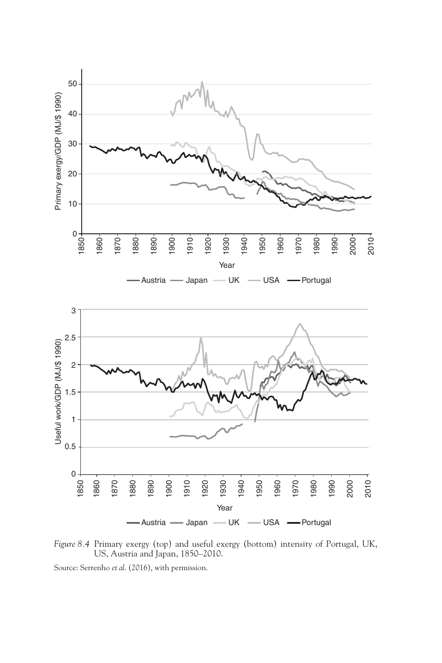

*[Figure 8.4](#page--1-0)* Primary exergy (top) and useful exergy (bottom) intensity of Portugal, UK, US, Austria and Japan, 1850–2010.

Source: Serrenho *et al*. (2016), with permission.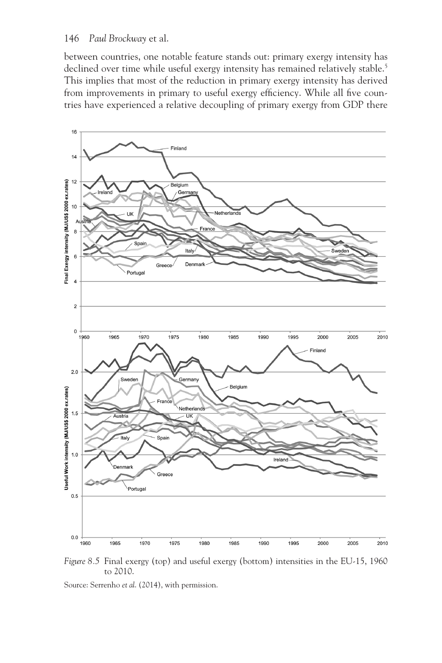between countries, one notable feature stands out: primary exergy intensity has declined over time while useful exergy intensity has remained relatively stable.<sup>5</sup> This implies that most of the reduction in primary exergy intensity has derived from improvements in primary to useful exergy efficiency. While all five countries have experienced a relative decoupling of primary exergy from GDP there



*[Figure 8.5](#page--1-0)* Final exergy (top) and useful exergy (bottom) intensities in the EU-15, 1960 to 2010.

Source: Serrenho *et al*. (2014), with permission.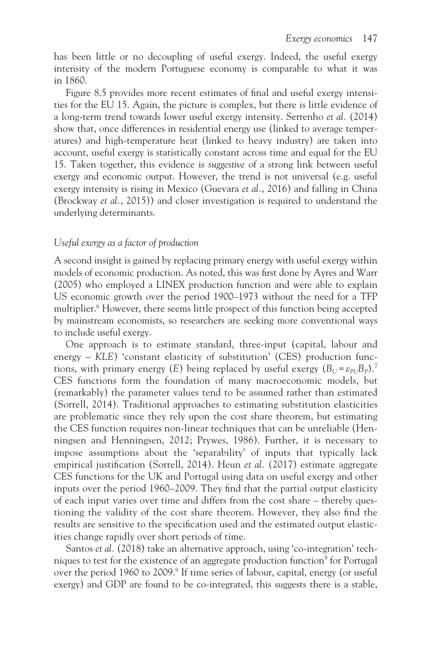has been little or no decoupling of useful exergy. Indeed, the useful exergy intensity of the modern Portuguese economy is comparable to what it was in 1860.

[Figure 8.5](#page--1-0) provides more recent estimates of final and useful exergy intensities for the EU 15. Again, the picture is complex, but there is little evidence of a long-term trend towards lower useful exergy intensity. Serrenho *et al.* (2014) show that, once differences in residential energy use (linked to average temperatures) and high-temperature heat (linked to heavy industry) are taken into account, useful exergy is statistically constant across time and equal for the EU 15. Taken together, this evidence is *suggestive* of a strong link between useful exergy and economic output. However, the trend is not universal (e.g. useful exergy intensity is rising in Mexico (Guevara *et al.*, 2016) and falling in China (Brockway *et al.*, 2015)) and closer investigation is required to understand the underlying determinants.

#### *Useful exergy as a factor of production*

A second insight is gained by replacing primary energy with useful exergy within models of economic production. As noted, this was first done by Ayres and Warr (2005) who employed a LINEX production function and were able to explain US economic growth over the period 1900–1973 without the need for a TFP multiplier.<sup>6</sup> However, there seems little prospect of this function being accepted by mainstream economists, so researchers are seeking more conventional ways to include useful exergy.

One approach is to estimate standard, three-input (capital, labour and energy – *KLE*) 'constant elasticity of substitution' (CES) production functions, with primary energy (*E*) being replaced by useful exergy  $(B_U = \varepsilon_{PL} B_P)$ .<sup>[7](#page--1-0)</sup> CES functions form the foundation of many macroeconomic models, but (remarkably) the parameter values tend to be assumed rather than estimated (Sorrell, 2014). Traditional approaches to estimating substitution elasticities are problematic since they rely upon the cost share theorem, but estimating the CES function requires non-linear techniques that can be unreliable (Henningsen and Henningsen, 2012; Prywes, 1986). Further, it is necessary to impose assumptions about the 'separability' of inputs that typically lack empirical justification (Sorrell, 2014). Heun *et al.* (2017) estimate aggregate CES functions for the UK and Portugal using data on useful exergy and other inputs over the period 1960–2009. They find that the partial output elasticity of each input varies over time and differs from the cost share – thereby questioning the validity of the cost share theorem. However, they also find the results are sensitive to the specification used and the estimated output elasticities change rapidly over short periods of time.

Santos *et al.* (2018) take an alternative approach, using 'co-integration' tech-niques to test for the existence of an aggregate production function<sup>[8](#page--1-0)</sup> for Portugal over the period 1[9](#page--1-0)60 to 2009.<sup>9</sup> If time series of labour, capital, energy (or useful exergy) and GDP are found to be co-integrated, this suggests there is a stable,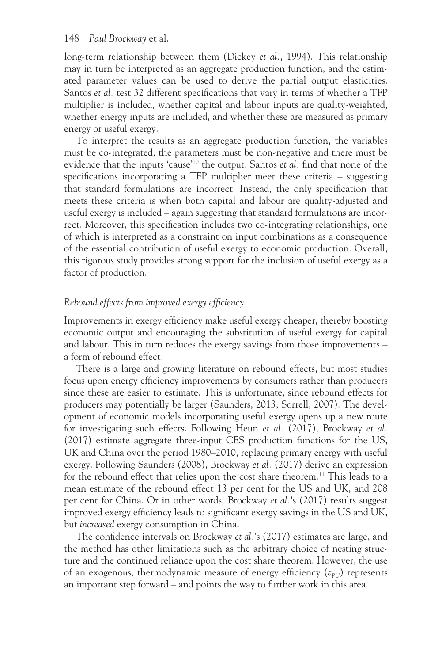long-term relationship between them (Dickey *et al.*, 1994). This relationship may in turn be interpreted as an aggregate production function, and the estimated parameter values can be used to derive the partial output elasticities. Santos *et al.* test 32 different specifications that vary in terms of whether a TFP multiplier is included, whether capital and labour inputs are quality-weighted, whether energy inputs are included, and whether these are measured as primary energy or useful exergy.

To interpret the results as an aggregate production function, the variables must be co-integrated, the parameters must be non-negative and there must be evidence that the inputs 'cause'[10](#page--1-0) the output. Santos *et al.* find that none of the specifications incorporating a TFP multiplier meet these criteria – suggesting that standard formulations are incorrect. Instead, the only specification that meets these criteria is when both capital and labour are quality-adjusted and useful exergy is included – again suggesting that standard formulations are incorrect. Moreover, this specification includes two co-integrating relationships, one of which is interpreted as a constraint on input combinations as a consequence of the essential contribution of useful exergy to economic production. Overall, this rigorous study provides strong support for the inclusion of useful exergy as a factor of production.

#### *Rebound effects from improved exergy efficiency*

Improvements in exergy efficiency make useful exergy cheaper, thereby boosting economic output and encouraging the substitution of useful exergy for capital and labour. This in turn reduces the exergy savings from those improvements – a form of rebound effect.

There is a large and growing literature on rebound effects, but most studies focus upon energy efficiency improvements by consumers rather than producers since these are easier to estimate. This is unfortunate, since rebound effects for producers may potentially be larger (Saunders, 2013; Sorrell, 2007). The development of economic models incorporating useful exergy opens up a new route for investigating such effects. Following Heun *et al.* (2017), Brockway *et al.* (2017) estimate aggregate three-input CES production functions for the US, UK and China over the period 1980–2010, replacing primary energy with useful exergy. Following Saunders (2008), Brockway *et al.* (2017) derive an expression for the rebound effect that relies upon the cost share theorem.<sup>11</sup> This leads to a mean estimate of the rebound effect 13 per cent for the US and UK, and 208 per cent for China. Or in other words, Brockway *et al.*'s (2017) results suggest improved exergy efficiency leads to significant exergy savings in the US and UK, but *increased* exergy consumption in China.

The confidence intervals on Brockway *et al.*'s (2017) estimates are large, and the method has other limitations such as the arbitrary choice of nesting structure and the continued reliance upon the cost share theorem. However, the use of an exogenous, thermodynamic measure of energy efficiency ( $\epsilon_{PU}$ ) represents an important step forward – and points the way to further work in this area.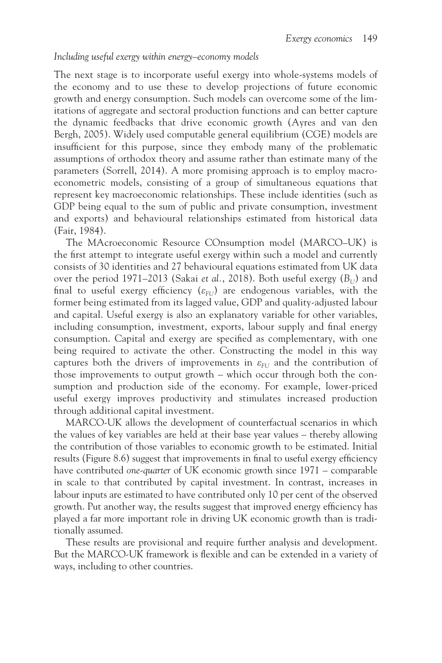#### *Including useful exergy within energy–economy models*

The next stage is to incorporate useful exergy into whole-systems models of the economy and to use these to develop projections of future economic growth and energy consumption. Such models can overcome some of the limitations of aggregate and sectoral production functions and can better capture the dynamic feedbacks that drive economic growth (Ayres and van den Bergh, 2005). Widely used computable general equilibrium (CGE) models are insufficient for this purpose, since they embody many of the problematic assumptions of orthodox theory and assume rather than estimate many of the parameters (Sorrell, 2014). A more promising approach is to employ macroeconometric models, consisting of a group of simultaneous equations that represent key macroeconomic relationships. These include identities (such as GDP being equal to the sum of public and private consumption, investment and exports) and behavioural relationships estimated from historical data (Fair, 1984).

The MAcroeconomic Resource COnsumption model (MARCO–UK) is the first attempt to integrate useful exergy within such a model and currently consists of 30 identities and 27 behavioural equations estimated from UK data over the period 1971–2013 (Sakai *et al.*, 2018). Both useful exergy  $(B_U)$  and final to useful exergy efficiency  $(\varepsilon_{FU})$  are endogenous variables, with the former being estimated from its lagged value, GDP and quality-adjusted labour and capital. Useful exergy is also an explanatory variable for other variables, including consumption, investment, exports, labour supply and final energy consumption. Capital and exergy are specified as complementary, with one being required to activate the other. Constructing the model in this way captures both the drivers of improvements in  $\varepsilon$ <sub>FU</sub> and the contribution of those improvements to output growth – which occur through both the consumption and production side of the economy. For example, lower-priced useful exergy improves productivity and stimulates increased production through additional capital investment.

MARCO-UK allows the development of counterfactual scenarios in which the values of key variables are held at their base year values – thereby allowing the contribution of those variables to economic growth to be estimated. Initial results [\(Figure 8.6](#page--1-0)) suggest that improvements in final to useful exergy efficiency have contributed *one-quarter* of UK economic growth since 1971 – comparable in scale to that contributed by capital investment. In contrast, increases in labour inputs are estimated to have contributed only 10 per cent of the observed growth. Put another way, the results suggest that improved energy efficiency has played a far more important role in driving UK economic growth than is traditionally assumed.

These results are provisional and require further analysis and development. But the MARCO-UK framework is flexible and can be extended in a variety of ways, including to other countries.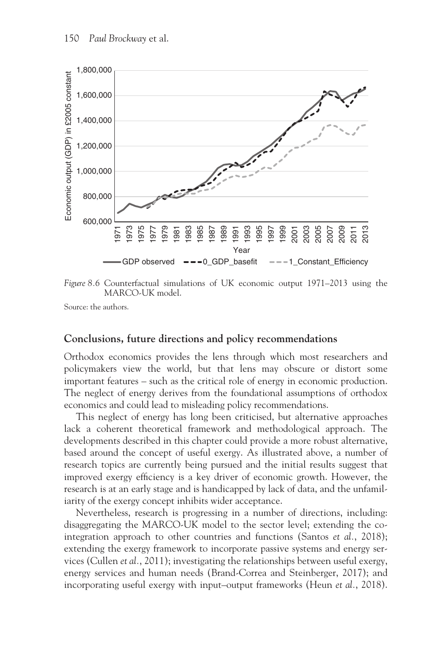

*[Figure 8.6](#page--1-0)* Counterfactual simulations of UK economic output 1971–2013 using the MARCO-UK model.

Source: the authors.

#### **Conclusions, future directions and policy recommendations**

Orthodox economics provides the lens through which most researchers and policymakers view the world, but that lens may obscure or distort some important features – such as the critical role of energy in economic production. The neglect of energy derives from the foundational assumptions of orthodox economics and could lead to misleading policy recommendations.

This neglect of energy has long been criticised, but alternative approaches lack a coherent theoretical framework and methodological approach. The developments described in this chapter could provide a more robust alternative, based around the concept of useful exergy. As illustrated above, a number of research topics are currently being pursued and the initial results suggest that improved exergy efficiency is a key driver of economic growth. However, the research is at an early stage and is handicapped by lack of data, and the unfamiliarity of the exergy concept inhibits wider acceptance.

Nevertheless, research is progressing in a number of directions, including: disaggregating the MARCO-UK model to the sector level; extending the cointegration approach to other countries and functions (Santos *et al.*, 2018); extending the exergy framework to incorporate passive systems and energy services (Cullen *et al.*, 2011); investigating the relationships between useful exergy, energy services and human needs (Brand-Correa and Steinberger, 2017); and incorporating useful exergy with input–output frameworks (Heun *et al.*, 2018).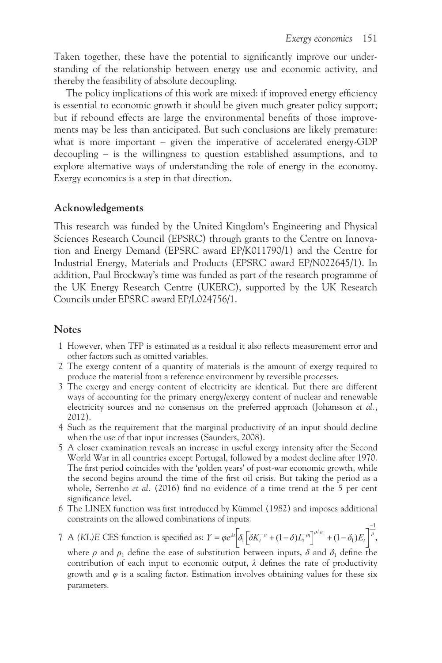Taken together, these have the potential to significantly improve our understanding of the relationship between energy use and economic activity, and thereby the feasibility of absolute decoupling.

The policy implications of this work are mixed: if improved energy efficiency is essential to economic growth it should be given much greater policy support; but if rebound effects are large the environmental benefits of those improvements may be less than anticipated. But such conclusions are likely premature: what is more important – given the imperative of accelerated energy-GDP decoupling – is the willingness to question established assumptions, and to explore alternative ways of understanding the role of energy in the economy. Exergy economics is a step in that direction.

# **Acknowledgements**

This research was funded by the United Kingdom's Engineering and Physical Sciences Research Council (EPSRC) through grants to the Centre on Innovation and Energy Demand (EPSRC award EP/K011790/1) and the Centre for Industrial Energy, Materials and Products (EPSRC award EP/N022645/1). In addition, Paul Brockway's time was funded as part of the research programme of the UK Energy Research Centre (UKERC), supported by the UK Research Councils under EPSRC award EP/L024756/1.

# **Notes**

- [1](#page--1-0) However, when TFP is estimated as a residual it also reflects measurement error and other factors such as omitted variables.
- [2](#page--1-0) The exergy content of a quantity of materials is the amount of exergy required to produce the material from a reference environment by reversible processes.
- [3](#page--1-0) The exergy and energy content of electricity are identical. But there are different ways of accounting for the primary energy/exergy content of nuclear and renewable electricity sources and no consensus on the preferred approach (Johansson *et al.*, 2012).
- [4](#page--1-0) Such as the requirement that the marginal productivity of an input should decline when the use of that input increases (Saunders, 2008).
- [5](#page--1-0) A closer examination reveals an increase in useful exergy intensity after the Second World War in all countries except Portugal, followed by a modest decline after 1970. The first period coincides with the 'golden years' of post-war economic growth, while the second begins around the time of the first oil crisis. But taking the period as a whole, Serrenho *et al.* (2016) find no evidence of a time trend at the 5 per cent significance level.
- [6](#page--1-0) The LINEX function was first introduced by Kümmel (1982) and imposes additional constraints on the allowed combinations of inputs.

# [7](#page--1-0) A *(KL)E* CES function is specified as:  $Y = \varphi e^{\lambda t} \left[ \delta_1 \left[ \delta K_t^{-\rho} + (1 - \delta) L_t^{-\rho_1} \right]^{ \rho/\rho_1} + (1 - \delta_1) E_t \right]^{-\frac{1}{\rho}}$

where  $\rho$  and  $\rho_1$  define the ease of substitution between inputs,  $\delta$  and  $\delta_1$  define the contribution of each input to economic output, *λ* defines the rate of productivity growth and  $\varphi$  is a scaling factor. Estimation involves obtaining values for these six parameters.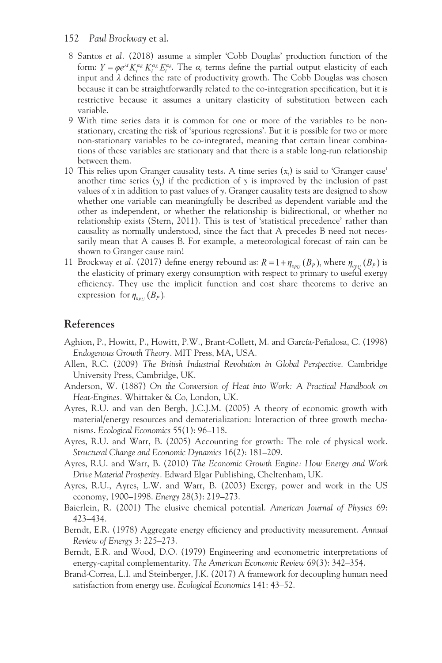- [8](#page--1-0) Santos *et al.* (2018) assume a simpler 'Cobb Douglas' production function of the form:  $Y = \varphi e^{\lambda t} K_t^{\alpha_K} K_t^{\alpha_E} E_t^{\alpha_E}$ . The  $\alpha_i$  terms define the partial output elasticity of each input and *λ* defines the rate of productivity growth. The Cobb Douglas was chosen because it can be straightforwardly related to the co-integration specification, but it is restrictive because it assumes a unitary elasticity of substitution between each variable.
- [9](#page--1-0) With time series data it is common for one or more of the variables to be nonstationary, creating the risk of 'spurious regressions'. But it is possible for two or more non-stationary variables to be co-integrated, meaning that certain linear combinations of these variables are stationary and that there is a stable long-run relationship between them.
- [10](#page--1-0) This relies upon Granger causality tests. A time series  $(x_t)$  is said to 'Granger cause' another time series  $(y_t)$  if the prediction of  $y$  is improved by the inclusion of past values of *x* in addition to past values of *y*. Granger causality tests are designed to show whether one variable can meaningfully be described as dependent variable and the other as independent, or whether the relationship is bidirectional, or whether no relationship exists (Stern, 2011). This is test of 'statistical precedence' rather than causality as normally understood, since the fact that A precedes B need not necessarily mean that A causes B. For example, a meteorological forecast of rain can be shown to Granger cause rain!
- [11](#page--1-0) Brockway *et al.* (2017) define energy rebound as:  $R = 1 + \eta_{\varepsilon_{P U}}(B_P)$ , where  $\eta_{\varepsilon_{P U}}(B_P)$  is the elasticity of primary exergy consumption with respect to primary to useful exergy efficiency. They use the implicit function and cost share theorems to derive an expression for  $\eta_{\text{\tiny{Eul}}}(B_p)$ .

#### **References**

- Aghion, P., Howitt, P., Howitt, P.W., Brant-Collett, M. and García-Peñalosa, C. (1998) *Endogenous Growth Theory.* MIT Press, MA, USA.
- Allen, R.C. (2009) *The British Industrial Revolution in Global Perspective*. Cambridge University Press, Cambridge, UK.
- Anderson, W. (1887) *On the Conversion of Heat into Work: A Practical Handbook on Heat-Engines.* Whittaker & Co, London, UK.
- Ayres, R.U. and van den Bergh, J.C.J.M. (2005) A theory of economic growth with material/energy resources and dematerialization: Interaction of three growth mechanisms. *Ecological Economics* 55(1): 96–118.
- Ayres, R.U. and Warr, B. (2005) Accounting for growth: The role of physical work. *Structural Change and Economic Dynamics* 16(2): 181–209.
- Ayres, R.U. and Warr, B. (2010) *The Economic Growth Engine: How Energy and Work Drive Material Prosperity.* Edward Elgar Publishing, Cheltenham, UK.
- Ayres, R.U., Ayres, L.W. and Warr, B. (2003) Exergy, power and work in the US economy, 1900–1998. *Energy* 28(3): 219–273.
- Baierlein, R. (2001) The elusive chemical potential. *American Journal of Physics* 69: 423–434.
- Berndt, E.R. (1978) Aggregate energy efficiency and productivity measurement. *Annual Review of Energy* 3: 225–273.
- Berndt, E.R. and Wood, D.O. (1979) Engineering and econometric interpretations of energy-capital complementarity. *The American Economic Review* 69(3): 342–354.
- Brand-Correa, L.I. and Steinberger, J.K. (2017) A framework for decoupling human need satisfaction from energy use. *Ecological Economics* 141: 43–52.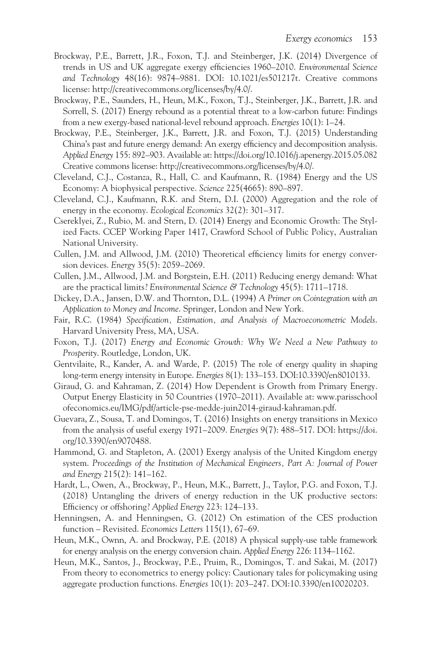- Brockway, P.E., Barrett, J.R., Foxon, T.J. and Steinberger, J.K. (2014) Divergence of trends in US and UK aggregate exergy efficiencies 1960–2010. *Environmental Science and Technology* 48(16): 9874–9881. DOI: 10.1021/es501217t. Creative commons license: [http://creativecommons.org/licenses/by/4.0/](http://creativecommons.org).
- Brockway, P.E., Saunders, H., Heun, M.K., Foxon, T.J., Steinberger, J.K., Barrett, J.R. and Sorrell, S. (2017) Energy rebound as a potential threat to a low-carbon future: Findings from a new exergy-based national-level rebound approach. *Energies* 10(1): 1–24.
- Brockway, P.E., Steinberger, J.K., Barrett, J.R. and Foxon, T.J. (2015) Understanding China's past and future energy demand: An exergy efficiency and decomposition analysis. *Applied Energy* 155: 892–903. Available at: [https://doi.org/10.1016/j.apenergy.2015.05.082](https://doi.org)  Creative commons license: [http://creativecommons.org/licenses/by/4.0/.](http://creativecommons.org)
- Cleveland, C.J., Costanza, R., Hall, C. and Kaufmann, R. (1984) Energy and the US Economy: A biophysical perspective. *Science* 225(4665): 890–897.
- Cleveland, C.J., Kaufmann, R.K. and Stern, D.I. (2000) Aggregation and the role of energy in the economy. *Ecological Economics* 32(2): 301–317.
- Csereklyei, Z., Rubio, M. and Stern, D. (2014) Energy and Economic Growth: The Stylized Facts. CCEP Working Paper 1417, Crawford School of Public Policy, Australian National University.
- Cullen, J.M. and Allwood, J.M. (2010) Theoretical efficiency limits for energy conversion devices. *Energy* 35(5): 2059–2069.
- Cullen, J.M., Allwood, J.M. and Borgstein, E.H. (2011) Reducing energy demand: What are the practical limits? *Environmental Science & Technology* 45(5): 1711–1718.
- Dickey, D.A., Jansen, D.W. and Thornton, D.L. (1994) *A Primer on Cointegration with an Application to Money and Income*. Springer, London and New York.
- Fair, R.C. (1984) *Specification, Estimation, and Analysis of Macroeconometric Models*. Harvard University Press, MA, USA.
- Foxon, T.J. (2017) *Energy and Economic Growth: Why We Need a New Pathway to Prosperity*. Routledge, London, UK.
- Gentvilaite, R., Kander, A. and Warde, P. (2015) The role of energy quality in shaping long-term energy intensity in Europe. *Energies* 8(1): 133–153. DOI:10.3390/en8010133.
- Giraud, G. and Kahraman, Z. (2014) How Dependent is Growth from Primary Energy. Output Energy Elasticity in 50 Countries (1970–2011). Available at: [www.parisschool](www.parisschoolofeconomics.eu) [ofeconomics.eu/IMG/pdf/article-pse-medde-juin2014-giraud-kahraman.pdf.](www.parisschoolofeconomics.eu)
- Guevara, Z., Sousa, T. and Domingos, T. (2016) Insights on energy transitions in Mexico from the analysis of useful exergy 1971–2009. *Energies* 9(7): 488–517. DOI: [https://doi.](https://doi.org) [org/10.3390/en9070488.](https://doi.org)
- Hammond, G. and Stapleton, A. (2001) Exergy analysis of the United Kingdom energy system. *Proceedings of the Institution of Mechanical Engineers, Part A: Journal of Power and Energy* 215(2): 141–162.
- Hardt, L., Owen, A., Brockway, P., Heun, M.K., Barrett, J., Taylor, P.G. and Foxon, T.J. (2018) Untangling the drivers of energy reduction in the UK productive sectors: Efficiency or offshoring? *Applied Energy* 223: 124–133.
- Henningsen, A. and Henningsen, G. (2012) On estimation of the CES production function – Revisited. *Economics Letters* 115(1), 67–69.
- Heun, M.K., Ownn, A. and Brockway, P.E. (2018) A physical supply-use table framework for energy analysis on the energy conversion chain. *Applied Energy* 226: 1134–1162.
- Heun, M.K., Santos, J., Brockway, P.E., Pruim, R., Domingos, T. and Sakai, M. (2017) From theory to econometrics to energy policy: Cautionary tales for policymaking using aggregate production functions. *Energies* 10(1): 203–247. DOI:10.3390/en10020203.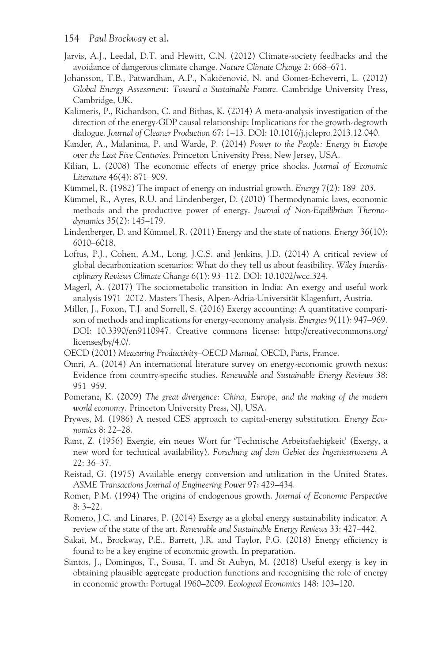- 154 *Paul Brockway* et al.
- Jarvis, A.J., Leedal, D.T. and Hewitt, C.N. (2012) Climate-society feedbacks and the avoidance of dangerous climate change. *Nature Climate Change* 2: 668–671.
- Johansson, T.B., Patwardhan, A.P., Nakićenović, N. and Gomez-Echeverri, L. (2012) *Global Energy Assessment: Toward a Sustainable Future*. Cambridge University Press, Cambridge, UK.
- Kalimeris, P., Richardson, C. and Bithas, K. (2014) A meta-analysis investigation of the direction of the energy-GDP causal relationship: Implications for the growth-degrowth dialogue. *Journal of Cleaner Production* 67: 1–13. DOI: 10.1016/j.jclepro.2013.12.040.
- Kander, A., Malanima, P. and Warde, P. (2014) *Power to the People: Energy in Europe over the Last Five Centuries*. Princeton University Press, New Jersey, USA.
- Kilian, L. (2008) The economic effects of energy price shocks. *Journal of Economic Literature* 46(4): 871–909.
- Kümmel, R. (1982) The impact of energy on industrial growth. *Energy* 7(2): 189–203.
- Kümmel, R., Ayres, R.U. and Lindenberger, D. (2010) Thermodynamic laws, economic methods and the productive power of energy. *Journal of Non-Equilibrium Thermodynamics* 35(2): 145–179.
- Lindenberger, D. and Kümmel, R. (2011) Energy and the state of nations. *Energy* 36(10): 6010–6018.
- Loftus, P.J., Cohen, A.M., Long, J.C.S. and Jenkins, J.D. (2014) A critical review of global decarbonization scenarios: What do they tell us about feasibility. *Wiley Interdisciplinary Reviews Climate Change* 6(1): 93–112. DOI: 10.1002/wcc.324.
- Magerl, A. (2017) The sociometabolic transition in India: An exergy and useful work analysis 1971–2012*.* Masters Thesis, Alpen-Adria-Universität Klagenfurt, Austria.
- Miller, J., Foxon, T.J. and Sorrell, S. (2016) Exergy accounting: A quantitative comparison of methods and implications for energy-economy analysis. *Energies* 9(11): 947–969. DOI: 10.3390/en9110947. Creative commons license: [http://creativecommons.org/](http://creativecommons.org) [licenses/by/4.0/.](http://creativecommons.org)
- OECD (2001) *Measuring Productivity–OECD Manual*. OECD, Paris, France.
- Omri, A. (2014) An international literature survey on energy-economic growth nexus: Evidence from country-specific studies. *Renewable and Sustainable Energy Reviews* 38: 951–959.
- Pomeranz, K. (2009) *The great divergence: China, Europe, and the making of the modern world economy.* Princeton University Press, NJ, USA.
- Prywes, M. (1986) A nested CES approach to capital-energy substitution. *Energy Economics* 8: 22–28.
- Rant, Z. (1956) Exergie, ein neues Wort fur 'Technische Arbeitsfaehigkeit' (Exergy, a new word for technical availability). *Forschung auf dem Gebiet des Ingenieurwesens A* 22: 36–37.
- Reistad, G. (1975) Available energy conversion and utilization in the United States. *ASME Transactions Journal of Engineering Power* 97: 429–434.
- Romer, P.M. (1994) The origins of endogenous growth. *Journal of Economic Perspective* 8: 3–22.
- Romero, J.C. and Linares, P. (2014) Exergy as a global energy sustainability indicator. A review of the state of the art. *Renewable and Sustainable Energy Reviews* 33: 427–442.
- Sakai, M., Brockway, P.E., Barrett, J.R. and Taylor, P.G. (2018) Energy efficiency is found to be a key engine of economic growth. In preparation.
- Santos, J., Domingos, T., Sousa, T. and St Aubyn, M. (2018) Useful exergy is key in obtaining plausible aggregate production functions and recognizing the role of energy in economic growth: Portugal 1960–2009. *Ecological Economics* 148: 103–120.